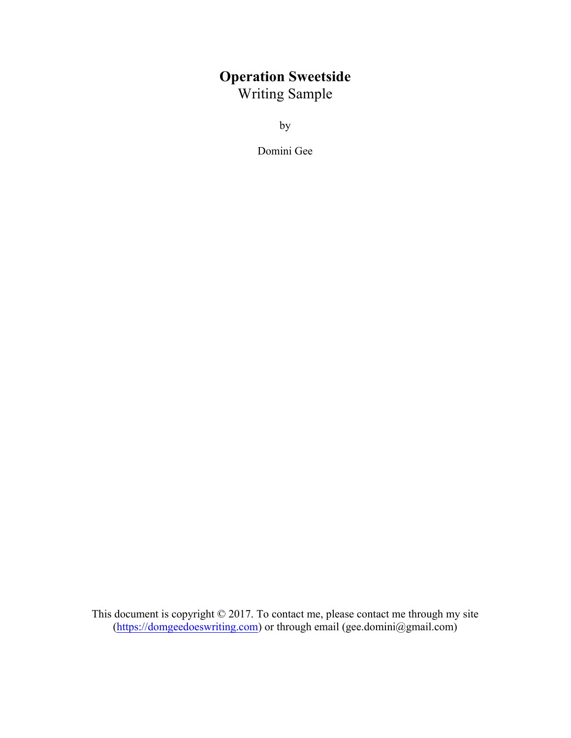## **Operation Sweetside** Writing Sample

by

Domini Gee

This document is copyright © 2017. To contact me, please contact me through my site (https://domgeedoeswriting.com) or through email (gee.domini@gmail.com)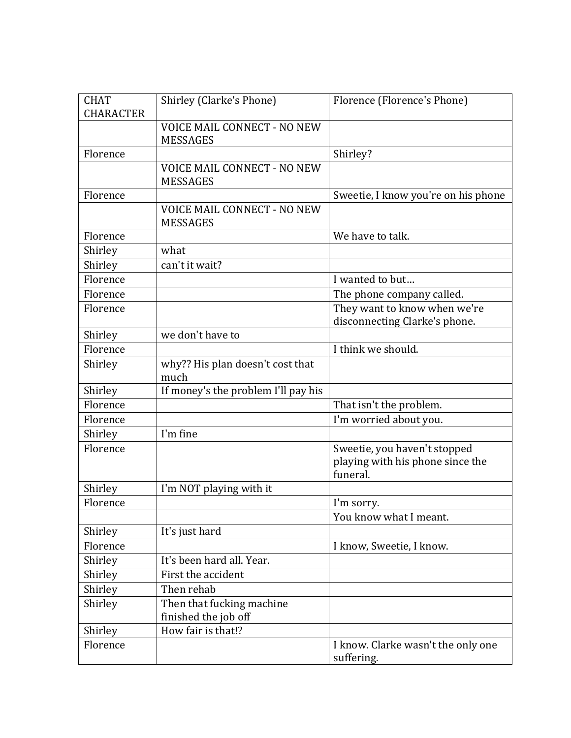| <b>CHAT</b><br><b>CHARACTER</b> | Shirley (Clarke's Phone)                              | Florence (Florence's Phone)                                                  |
|---------------------------------|-------------------------------------------------------|------------------------------------------------------------------------------|
|                                 | <b>VOICE MAIL CONNECT - NO NEW</b><br><b>MESSAGES</b> |                                                                              |
| Florence                        |                                                       | Shirley?                                                                     |
|                                 | <b>VOICE MAIL CONNECT - NO NEW</b><br><b>MESSAGES</b> |                                                                              |
| Florence                        |                                                       | Sweetie, I know you're on his phone                                          |
|                                 | VOICE MAIL CONNECT - NO NEW<br><b>MESSAGES</b>        |                                                                              |
| Florence                        |                                                       | We have to talk.                                                             |
| Shirley                         | what                                                  |                                                                              |
| Shirley                         | can't it wait?                                        |                                                                              |
| Florence                        |                                                       | I wanted to but                                                              |
| Florence                        |                                                       | The phone company called.                                                    |
| Florence                        |                                                       | They want to know when we're                                                 |
|                                 |                                                       | disconnecting Clarke's phone.                                                |
| Shirley                         | we don't have to                                      |                                                                              |
| Florence                        |                                                       | I think we should.                                                           |
| Shirley                         | why?? His plan doesn't cost that<br>much              |                                                                              |
| Shirley                         | If money's the problem I'll pay his                   |                                                                              |
| Florence                        |                                                       | That isn't the problem.                                                      |
| Florence                        |                                                       | I'm worried about you.                                                       |
| Shirley                         | I'm fine                                              |                                                                              |
| Florence                        |                                                       | Sweetie, you haven't stopped<br>playing with his phone since the<br>funeral. |
| Shirley                         | I'm NOT playing with it                               |                                                                              |
| Florence                        |                                                       | I'm sorry.                                                                   |
|                                 |                                                       | You know what I meant.                                                       |
| Shirley                         | It's just hard                                        |                                                                              |
| Florence                        |                                                       | I know, Sweetie, I know.                                                     |
| Shirley                         | It's been hard all. Year.                             |                                                                              |
| Shirley                         | First the accident                                    |                                                                              |
| Shirley                         | Then rehab                                            |                                                                              |
| Shirley                         | Then that fucking machine<br>finished the job off     |                                                                              |
| Shirley                         | How fair is that!?                                    |                                                                              |
| Florence                        |                                                       | I know. Clarke wasn't the only one<br>suffering.                             |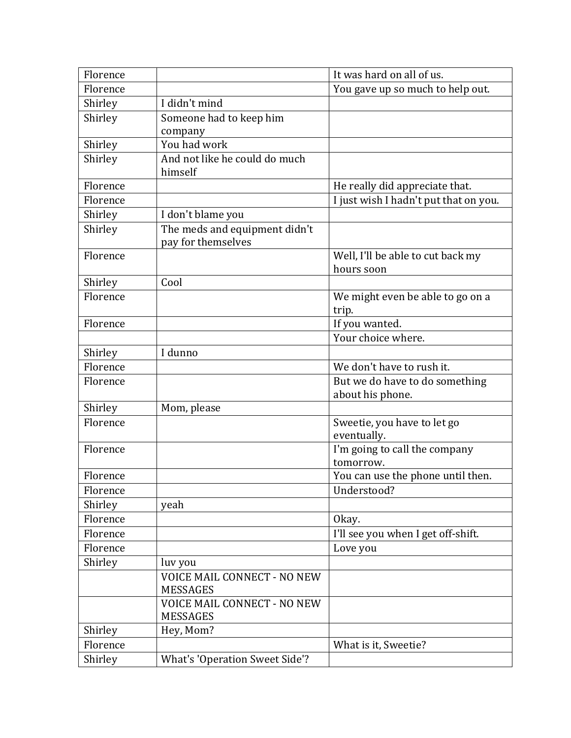| Florence |                                    | It was hard on all of us.             |
|----------|------------------------------------|---------------------------------------|
| Florence |                                    | You gave up so much to help out.      |
| Shirley  | I didn't mind                      |                                       |
| Shirley  | Someone had to keep him            |                                       |
|          | company                            |                                       |
| Shirley  | You had work                       |                                       |
| Shirley  | And not like he could do much      |                                       |
|          | himself                            |                                       |
| Florence |                                    | He really did appreciate that.        |
| Florence |                                    | I just wish I hadn't put that on you. |
| Shirley  | I don't blame you                  |                                       |
| Shirley  | The meds and equipment didn't      |                                       |
|          | pay for themselves                 |                                       |
| Florence |                                    | Well, I'll be able to cut back my     |
| Shirley  | Cool                               | hours soon                            |
| Florence |                                    | We might even be able to go on a      |
|          |                                    | trip.                                 |
| Florence |                                    | If you wanted.                        |
|          |                                    | Your choice where.                    |
| Shirley  | I dunno                            |                                       |
| Florence |                                    | We don't have to rush it.             |
| Florence |                                    | But we do have to do something        |
|          |                                    | about his phone.                      |
| Shirley  | Mom, please                        |                                       |
| Florence |                                    | Sweetie, you have to let go           |
|          |                                    | eventually.                           |
| Florence |                                    | I'm going to call the company         |
|          |                                    | tomorrow.                             |
| Florence |                                    | You can use the phone until then.     |
| Florence |                                    | Understood?                           |
| Shirley  | yeah                               |                                       |
| Florence |                                    | Okay.                                 |
| Florence |                                    | I'll see you when I get off-shift.    |
| Florence |                                    | Love you                              |
| Shirley  | luv you                            |                                       |
|          | <b>VOICE MAIL CONNECT - NO NEW</b> |                                       |
|          | <b>MESSAGES</b>                    |                                       |
|          | <b>VOICE MAIL CONNECT - NO NEW</b> |                                       |
|          | <b>MESSAGES</b>                    |                                       |
| Shirley  | Hey, Mom?                          |                                       |
| Florence |                                    | What is it, Sweetie?                  |
| Shirley  | What's 'Operation Sweet Side'?     |                                       |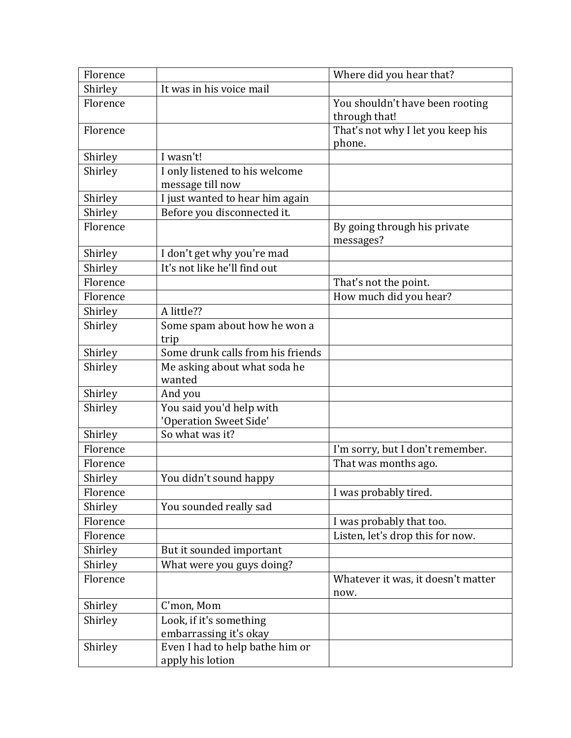| Florence |                                      | Where did you hear that?                   |
|----------|--------------------------------------|--------------------------------------------|
| Shirley  | It was in his voice mail             |                                            |
| Florence |                                      | You shouldn't have been rooting            |
|          |                                      | through that!                              |
| Florence |                                      | That's not why I let you keep his          |
|          |                                      | phone.                                     |
| Shirley  | I wasn't!                            |                                            |
| Shirley  | I only listened to his welcome       |                                            |
|          | message till now                     |                                            |
| Shirley  | I just wanted to hear him again      |                                            |
| Shirley  | Before you disconnected it.          |                                            |
| Florence |                                      | By going through his private<br>messages?  |
| Shirley  | I don't get why you're mad           |                                            |
| Shirley  | It's not like he'll find out         |                                            |
| Florence |                                      | That's not the point.                      |
| Florence |                                      | How much did you hear?                     |
| Shirley  | A little??                           |                                            |
| Shirley  | Some spam about how he won a<br>trip |                                            |
| Shirley  | Some drunk calls from his friends    |                                            |
| Shirley  | Me asking about what soda he         |                                            |
|          | wanted                               |                                            |
| Shirley  | And you                              |                                            |
| Shirley  | You said you'd help with             |                                            |
|          | 'Operation Sweet Side'               |                                            |
| Shirley  | So what was it?                      |                                            |
| Florence |                                      | I'm sorry, but I don't remember.           |
| Florence |                                      | That was months ago.                       |
| Shirley  | You didn't sound happy               |                                            |
| Florence |                                      | I was probably tired.                      |
| Shirley  | You sounded really sad               |                                            |
| Florence |                                      | I was probably that too.                   |
| Florence |                                      | Listen, let's drop this for now.           |
| Shirley  | But it sounded important             |                                            |
| Shirley  | What were you guys doing?            |                                            |
| Florence |                                      | Whatever it was, it doesn't matter<br>now. |
| Shirley  | C'mon, Mom                           |                                            |
| Shirley  | Look, if it's something              |                                            |
|          | embarrassing it's okay               |                                            |
| Shirley  | Even I had to help bathe him or      |                                            |
|          | apply his lotion                     |                                            |